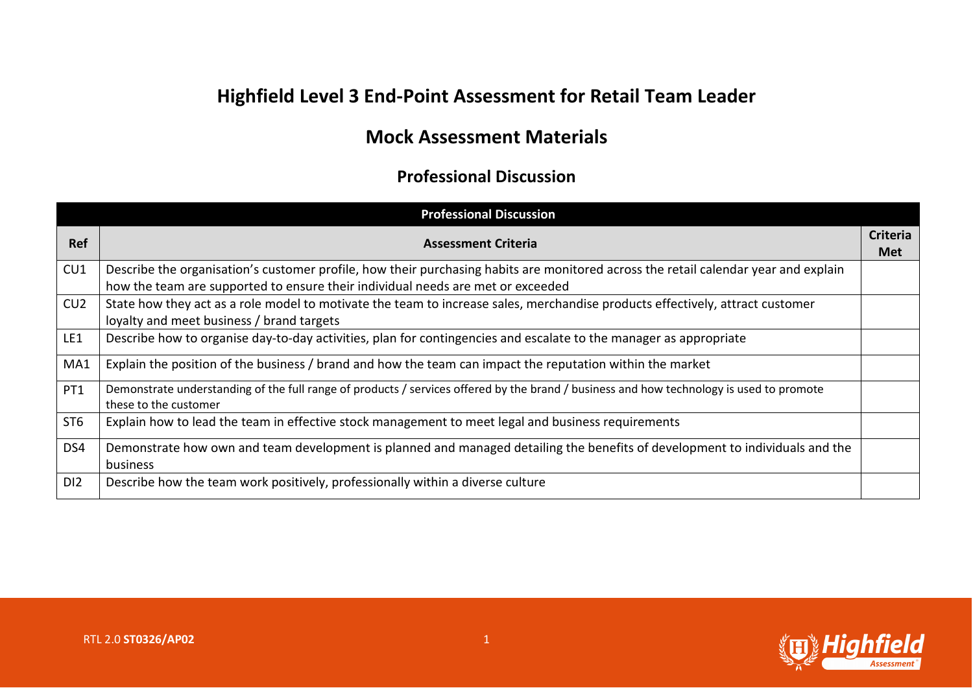## **Highfield Level 3 End-Point Assessment for Retail Team Leader**

## **Mock Assessment Materials**

## **Professional Discussion**

| <b>Professional Discussion</b> |                                                                                                                                                                                                                        |                               |
|--------------------------------|------------------------------------------------------------------------------------------------------------------------------------------------------------------------------------------------------------------------|-------------------------------|
| <b>Ref</b>                     | <b>Assessment Criteria</b>                                                                                                                                                                                             | <b>Criteria</b><br><b>Met</b> |
| CU1                            | Describe the organisation's customer profile, how their purchasing habits are monitored across the retail calendar year and explain<br>how the team are supported to ensure their individual needs are met or exceeded |                               |
| CU2                            | State how they act as a role model to motivate the team to increase sales, merchandise products effectively, attract customer<br>loyalty and meet business / brand targets                                             |                               |
| LE1                            | Describe how to organise day-to-day activities, plan for contingencies and escalate to the manager as appropriate                                                                                                      |                               |
| MA1                            | Explain the position of the business / brand and how the team can impact the reputation within the market                                                                                                              |                               |
| PT1                            | Demonstrate understanding of the full range of products / services offered by the brand / business and how technology is used to promote<br>these to the customer                                                      |                               |
| ST <sub>6</sub>                | Explain how to lead the team in effective stock management to meet legal and business requirements                                                                                                                     |                               |
| DS4                            | Demonstrate how own and team development is planned and managed detailing the benefits of development to individuals and the<br>business                                                                               |                               |
| D <sub>12</sub>                | Describe how the team work positively, professionally within a diverse culture                                                                                                                                         |                               |